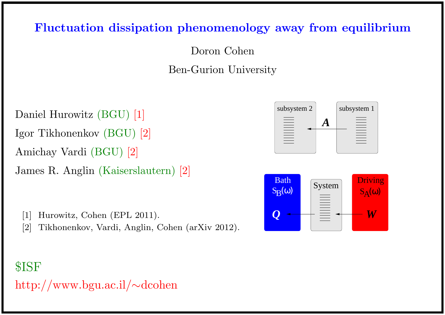## Fluctuation dissipation phenomenology away from equilibrium

Doron Cohen

Ben-Gurion University

Daniel Hurowitz (BGU) [1] Igor Tikhonenkov (BGU) [2] Amichay Vardi (BGU) [2] James R. Anglin (Kaiserslautern) [2]

[1] Hurowitz, Cohen (EPL 2011).

[2] Tikhonenkov, Vardi, Anglin, Cohen (arXiv 2012).

# \$ISF http://www.bgu.ac.il/∼dcohen



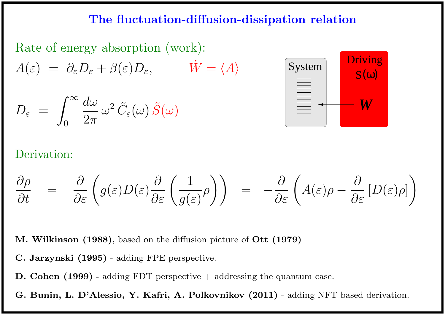### The fluctuation-diffusion-dissipation relation



$$
D_{\varepsilon} = \int_0^\infty \frac{d\omega}{2\pi} \, \omega^2 \, \tilde{C}_{\varepsilon}(\omega) \, \tilde{S}(\omega)
$$



### Derivation:

$$
\frac{\partial \rho}{\partial t} = \frac{\partial}{\partial \varepsilon} \left( g(\varepsilon) D(\varepsilon) \frac{\partial}{\partial \varepsilon} \left( \frac{1}{g(\varepsilon)} \rho \right) \right) = -\frac{\partial}{\partial \varepsilon} \left( A(\varepsilon) \rho - \frac{\partial}{\partial \varepsilon} \left[ D(\varepsilon) \rho \right] \right)
$$

M. Wilkinson (1988), based on the diffusion picture of Ott (1979)

- C. Jarzynski (1995) adding FPE perspective.
- D. Cohen (1999) adding FDT perspective + addressing the quantum case.
- G. Bunin, L. D'Alessio, Y. Kafri, A. Polkovnikov (2011) adding NFT based derivation.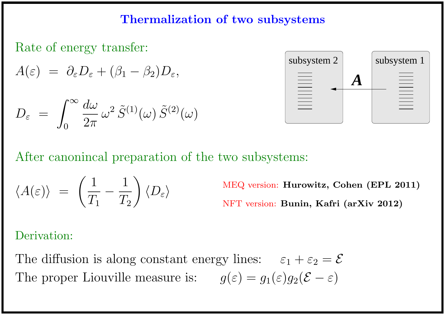# Thermalization of two subsystems

Rate of energy transfer:

$$
A(\varepsilon) = \partial_{\varepsilon} D_{\varepsilon} + (\beta_1 - \beta_2) D_{\varepsilon},
$$

$$
D_{\varepsilon} = \int_0^\infty \frac{d\omega}{2\pi} \, \omega^2 \, \tilde{S}^{(1)}(\omega) \, \tilde{S}^{(2)}(\omega)
$$



After canonincal preparation of the two subsystems:

$$
\langle A(\varepsilon) \rangle \; = \; \left( \frac{1}{T_1} - \frac{1}{T_2} \right) \langle D_\varepsilon \rangle
$$

MEQ version: Hurowitz, Cohen (EPL 2011) NFT version: Bunin, Kafri (arXiv 2012)

Derivation:

The diffusion is along constant energy lines:  $\varepsilon_1 + \varepsilon_2 = \mathcal{E}$ The proper Liouville measure is:  $g(\varepsilon) = g_1(\varepsilon)g_2(\mathcal{E} - \varepsilon)$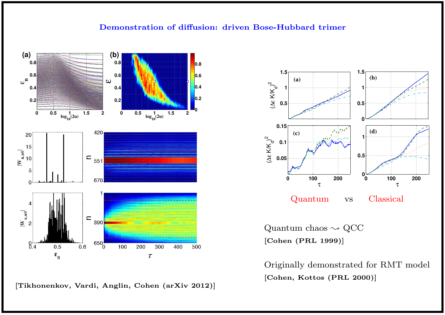#### Demonstration of diffusion: driven Bose-Hubbard trimer



[Tikhonenkov, Vardi, Anglin, Cohen (arXiv 2012)]



Quantum chaos  $\sim$  QCC [Cohen (PRL 1999)]

Originally demonstrated for RMT model [Cohen, Kottos (PRL 2000)]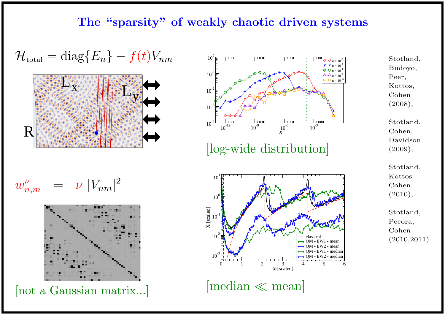### The "sparsity" of weakly chaotic driven systems

$$
\mathcal{H}_{\text{total}} = \text{diag}\{E_n\} - f(t)V_{nm}
$$



$$
w_{n,m}^{\nu} = \nu |V_{nm}|^2
$$



[not a Gaussian matrix...]



[log-wide distribution]



 $[median \ll mean]$ 

- Stotland, Budoyo, Peer, Kottos, Cohen (2008),
- Stotland, Cohen, Davidson (2009),
- Stotland, Kottos Cohen  $(2010),$
- Stotland, Pecora, Cohen (2010,2011)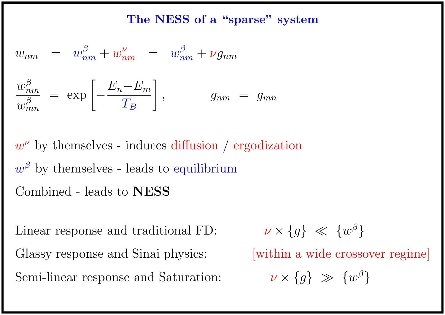The NESS of a "sparse" system

$$
w_{nm} = w_{nm}^{\beta} + w_{nm}^{\nu} = w_{nm}^{\beta} + \nu g_{nm}
$$
  

$$
\frac{w_{nm}^{\beta}}{w_{mn}^{\beta}} = \exp\left[-\frac{E_n - E_m}{T_B}\right], \qquad g_{nm} = g_{mn}
$$

 $w^{\nu}$  by themselves - induces diffusion / ergodization  $w^{\beta}$  by themselves - leads to equilibrium Combined - leads to NESS

Linear response and traditional FD:  $\,$ Glassy response and Sinai physics: [within a wide crossover regime] Semi-linear response and Saturation:

$$
\nu \times \{g\} \ll \{w^{\beta}\}
$$

 $\beta$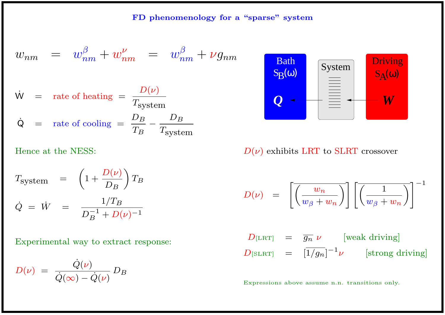$$
w_{nm} = w_{nm}^{\beta} + w_{nm}^{\nu} = w_{nm}^{\beta} + \nu g_{nm}
$$
  

$$
\dot{w} = \text{rate of heating} = \frac{D(\nu)}{T_{\text{system}}}
$$
  

$$
\dot{Q} = \text{rate of cooling} = \frac{D_B}{T_B} - \frac{D_B}{T_{\text{system}}}
$$

Hence at the NESS:

$$
T_{\text{system}} = \left(1 + \frac{D(\nu)}{D_B}\right) T_B
$$
  

$$
\dot{Q} = \dot{W} = \frac{1/T_B}{D_B^{-1} + D(\nu)^{-1}}
$$

Experimental way to extract response:

$$
D(\nu) = \frac{\dot{Q}(\nu)}{\dot{Q}(\infty) - \dot{Q}(\nu)} D_B
$$



 $D(\nu)$  exhibits LRT to SLRT crossover

$$
D(\nu) \quad = \quad \left[ \overline{\left( \frac{w_n}{w_\beta + w_n} \right)} \right] \left[ \overline{\left( \frac{1}{w_\beta + w_n} \right)} \right]^{-1}
$$

$$
D_{\text{[LRT]}} = \overline{g_n} \nu \qquad \text{[weak driving]}
$$
  

$$
D_{\text{[SLRT]}} = [\overline{1/g_n}]^{-1} \nu \qquad \text{[strong driving]}
$$

Expressions above assume n.n. transitions only.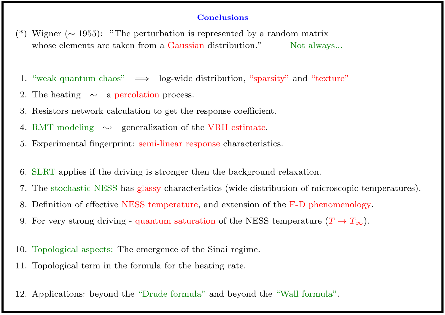#### **Conclusions**

- Wigner ( $\sim$  1955): "The perturbation is represented by a random matrix whose elements are taken from a Gaussian distribution." Not always...
- 1. "weak quantum chaos"  $\implies$  log-wide distribution, "sparsity" and "texture"
- 2. The heating  $\sim$  a percolation process.
- 3. Resistors network calculation to get the response coefficient.
- 4. RMT modeling  $\rightsquigarrow$  generalization of the VRH estimate.
- 5. Experimental fingerprint: semi-linear response characteristics.
- 6. SLRT applies if the driving is stronger then the background relaxation.
- 7. The stochastic NESS has glassy characteristics (wide distribution of microscopic temperatures).
- 8. Definition of effective NESS temperature, and extension of the F-D phenomenology.
- 9. For very strong driving quantum saturation of the NESS temperature  $(T \to T_\infty)$ .
- 10. Topological aspects: The emergence of the Sinai regime.
- 11. Topological term in the formula for the heating rate.
- 12. Applications: beyond the "Drude formula" and beyond the "Wall formula".